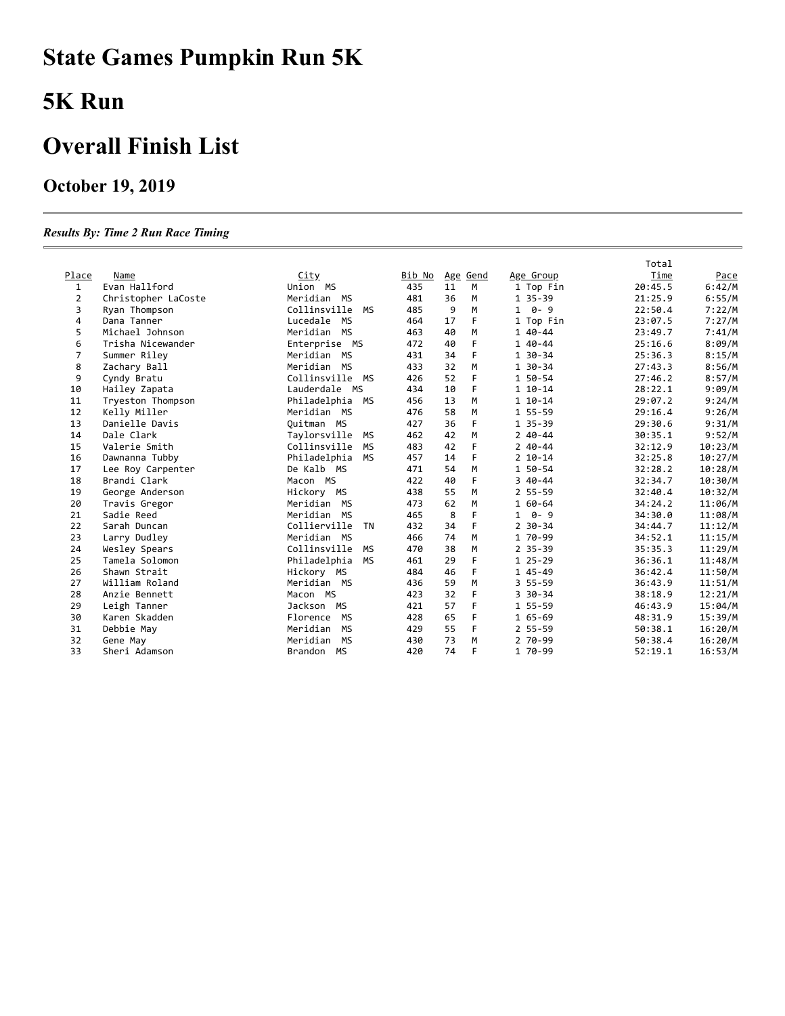# **State Games Pumpkin Run 5K**

### **5K Run**

### **Overall Finish List**

### **October 19, 2019**

#### *Results By: Time 2 Run Race Timing*

|                |                     |                       |        |    |          |                | Total   |         |
|----------------|---------------------|-----------------------|--------|----|----------|----------------|---------|---------|
| Place          | Name                | <u>City</u>           | Bib No |    | Age Gend | Age Group      | Time    | Pace    |
| $\mathbf{1}$   | Evan Hallford       | Union MS              | 435    | 11 | М        | 1 Top Fin      | 20:45.5 | 6:42/M  |
| $\overline{2}$ | Christopher LaCoste | Meridian MS           | 481    | 36 | M        | 1 35-39        | 21:25.9 | 6:55/M  |
| 3              | Ryan Thompson       | Collinsville<br>MS    | 485    | 9  | M        | $1 \theta - 9$ | 22:50.4 | 7:22/M  |
| 4              | Dana Tanner         | Lucedale<br>MS        | 464    | 17 | F        | 1 Top Fin      | 23:07.5 | 7:27/M  |
| 5              | Michael Johnson     | Meridian MS           | 463    | 40 | M        | 1 40-44        | 23:49.7 | 7:41/M  |
| 6              | Trisha Nicewander   | Enterprise MS         | 472    | 40 | F        | 1 40-44        | 25:16.6 | 8:09/M  |
| 7              | Summer Riley        | Meridian MS           | 431    | 34 | F        | 1 30-34        | 25:36.3 | 8:15/M  |
| 8              | Zachary Ball        | Meridian MS           | 433    | 32 | M        | 1 30-34        | 27:43.3 | 8:56/M  |
| 9              | Cyndy Bratu         | Collinsville<br>MS    | 426    | 52 | F        | 1 50-54        | 27:46.2 | 8:57/M  |
| 10             | Hailey Zapata       | Lauderdale MS         | 434    | 10 | F        | $110-14$       | 28:22.1 | 9:09/M  |
| 11             | Tryeston Thompson   | Philadelphia MS       | 456    | 13 | M        | $110-14$       | 29:07.2 | 9:24/M  |
| 12             | Kelly Miller        | Meridian MS           | 476    | 58 | M        | 1 55-59        | 29:16.4 | 9:26/M  |
| 13             | Danielle Davis      | Ouitman MS            | 427    | 36 | F        | 1 35-39        | 29:30.6 | 9:31/M  |
| 14             | Dale Clark          | Taylorsville<br>МS    | 462    | 42 | M        | $240 - 44$     | 30:35.1 | 9:52/M  |
| 15             | Valerie Smith       | Collinsville<br>MS    | 483    | 42 | F        | $240 - 44$     | 32:12.9 | 10:23/M |
| 16             | Dawnanna Tubby      | Philadelphia<br>MS    | 457    | 14 | F        | $2 10 - 14$    | 32:25.8 | 10:27/M |
| 17             | Lee Roy Carpenter   | De Kalb MS            | 471    | 54 | M        | 1 50-54        | 32:28.2 | 10:28/M |
| 18             | Brandi Clark        | Macon MS              | 422    | 40 | F        | $340 - 44$     | 32:34.7 | 10:30/M |
| 19             | George Anderson     | Hickory MS            | 438    | 55 | M        | $255 - 59$     | 32:40.4 | 10:32/M |
| 20             | Travis Gregor       | Meridian MS           | 473    | 62 | M        | 1 60-64        | 34:24.2 | 11:06/M |
| 21             | Sadie Reed          | Meridian MS           | 465    | 8  | F        | $1 \t 0 - 9$   | 34:30.0 | 11:08/M |
| 22             | Sarah Duncan        | Collierville<br>TN    | 432    | 34 | F        | $2$ 30-34      | 34:44.7 | 11:12/M |
| 23             | Larry Dudley        | Meridian MS           | 466    | 74 | M        | 1 70-99        | 34:52.1 | 11:15/M |
| 24             | Wesley Spears       | Collinsville<br>MS    | 470    | 38 | M        | $2$ 35-39      | 35:35.3 | 11:29/M |
| 25             | Tamela Solomon      | MS<br>Philadelphia    | 461    | 29 | F        | $125 - 29$     | 36:36.1 | 11:48/M |
| 26             | Shawn Strait        | Hickory MS            | 484    | 46 | F        | 1 45-49        | 36:42.4 | 11:50/M |
| 27             | William Roland      | Meridian MS           | 436    | 59 | M        | $355 - 59$     | 36:43.9 | 11:51/M |
| 28             | Anzie Bennett       | Macon MS              | 423    | 32 | F        | $3\,30 - 34$   | 38:18.9 | 12:21/M |
| 29             | Leigh Tanner        | Jackson MS            | 421    | 57 | F        | 1 55-59        | 46:43.9 | 15:04/M |
| 30             | Karen Skadden       | MS<br>Florence        | 428    | 65 | F        | $165 - 69$     | 48:31.9 | 15:39/M |
| 31             | Debbie May          | Meridian<br><b>MS</b> | 429    | 55 | F        | $255 - 59$     | 50:38.1 | 16:20/M |
| 32             | Gene May            | Meridian<br><b>MS</b> | 430    | 73 | M        | 2 70-99        | 50:38.4 | 16:20/M |
| 33             | Sheri Adamson       | <b>MS</b><br>Brandon  | 420    | 74 | F        | 1 70-99        | 52:19.1 | 16:53/M |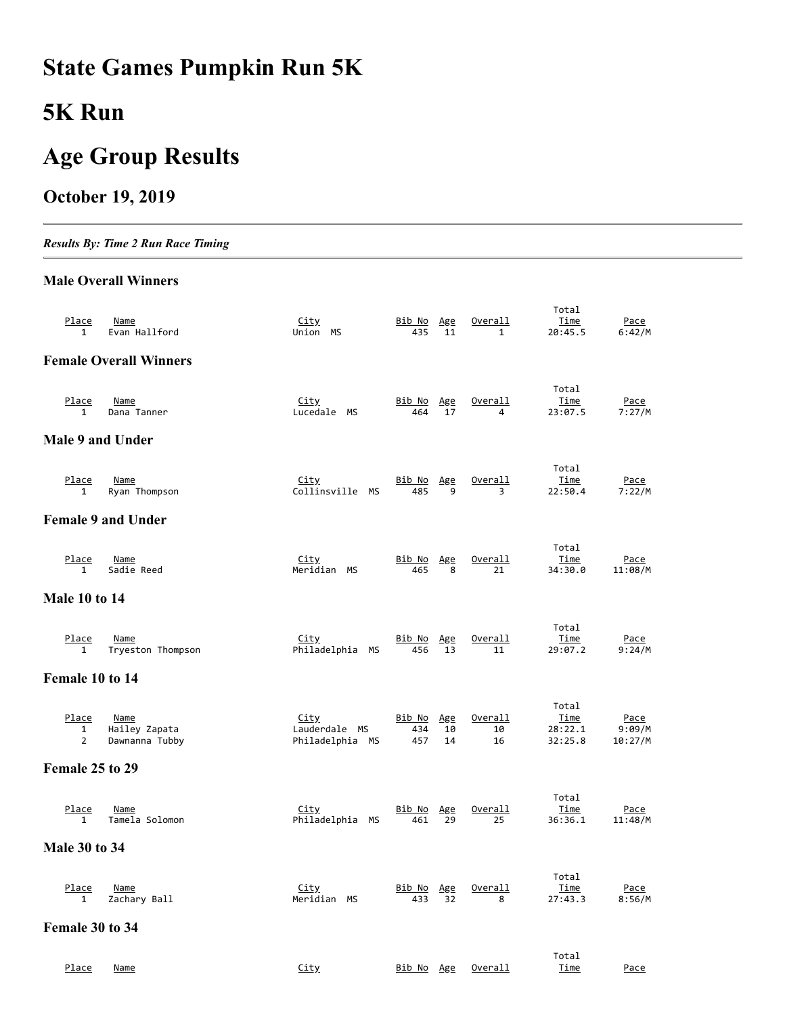## **State Games Pumpkin Run 5K**

### **5K Run**

### **Age Group Results**

### **October 19, 2019**

*Results By: Time 2 Run Race Timing*

#### **Male Overall Winners**

| Place<br>$\mathbf{1}$                   | Name<br>Evan Hallford                          | <u>City</u><br>Union MS                         | <u>Bib No</u><br>435        | <u>Age</u><br>11 | Overall<br>$\mathbf{1}$ | Total<br>Time<br>20:45.5            | Pace<br>6:42/M                   |
|-----------------------------------------|------------------------------------------------|-------------------------------------------------|-----------------------------|------------------|-------------------------|-------------------------------------|----------------------------------|
|                                         | <b>Female Overall Winners</b>                  |                                                 |                             |                  |                         |                                     |                                  |
| Place<br>$\mathbf{1}$                   | Name<br>Dana Tanner                            | <u>City</u><br>Lucedale MS                      | <u>Bib No</u><br>464        | Age<br>17        | Overall<br>4            | Total<br>Time<br>23:07.5            | Pace<br>7:27/M                   |
| Male 9 and Under                        |                                                |                                                 |                             |                  |                         |                                     |                                  |
| Place<br>$\mathbf{1}$                   | <b>Name</b><br>Ryan Thompson                   | <u>City</u><br>Collinsville MS                  | Bib No Age<br>485           | 9                | Overall<br>3            | Total<br>Time<br>22:50.4            | Pace<br>7:22/M                   |
|                                         | <b>Female 9 and Under</b>                      |                                                 |                             |                  |                         |                                     |                                  |
| Place<br>$\mathbf{1}$                   | <u>Name</u><br>Sadie Reed                      | <u>City</u><br>Meridian MS                      | Bib No<br>465               | Age<br>8         | Overall<br>21           | Total<br><u>Time</u><br>34:30.0     | <u>Pace</u><br>11:08/M           |
| <b>Male 10 to 14</b>                    |                                                |                                                 |                             |                  |                         |                                     |                                  |
| <u>Place</u><br>1                       | Name<br>Tryeston Thompson                      | <u>City</u><br>Philadelphia MS                  | <u>Bib No</u><br>456        | Age<br>13        | Overall<br>11           | Total<br>Time<br>29:07.2            | Pace<br>9:24/M                   |
| Female 10 to 14                         |                                                |                                                 |                             |                  |                         |                                     |                                  |
| Place<br>$\mathbf{1}$<br>$\overline{2}$ | <b>Name</b><br>Hailey Zapata<br>Dawnanna Tubby | <u>City</u><br>Lauderdale MS<br>Philadelphia MS | <u>Bib No</u><br>434<br>457 | Age<br>10<br>14  | Overall<br>10<br>16     | Total<br>Time<br>28:22.1<br>32:25.8 | <u>Pace</u><br>9:09/M<br>10:27/M |
| Female 25 to 29                         |                                                |                                                 |                             |                  |                         |                                     |                                  |
| Place<br>$\mathbf{1}$                   | Name<br>Tamela Solomon                         | <u>City</u><br>Philadelphia MS                  | Bib No<br>461               | Age<br>29        | Overall<br>25           | Total<br><u>Time</u><br>36:36.1     | <u>Pace</u><br>11:48/M           |
| <b>Male 30 to 34</b>                    |                                                |                                                 |                             |                  |                         |                                     |                                  |
| <u>Place</u><br>1                       | <u>Name</u><br>Zachary Ball                    | <u>City</u><br>Meridian MS                      | <u>Bib No</u><br>433        | Age<br>32        | <u>Overall</u><br>8     | Total<br><u>Time</u><br>27:43.3     | <u>Pace</u><br>8:56/M            |
| Female 30 to 34                         |                                                |                                                 |                             |                  |                         |                                     |                                  |
| Place                                   | <b>Name</b>                                    | <b>City</b>                                     | <u>Bib No Age</u>           |                  | Overall                 | Total<br><u>Time</u>                | <u>Pace</u>                      |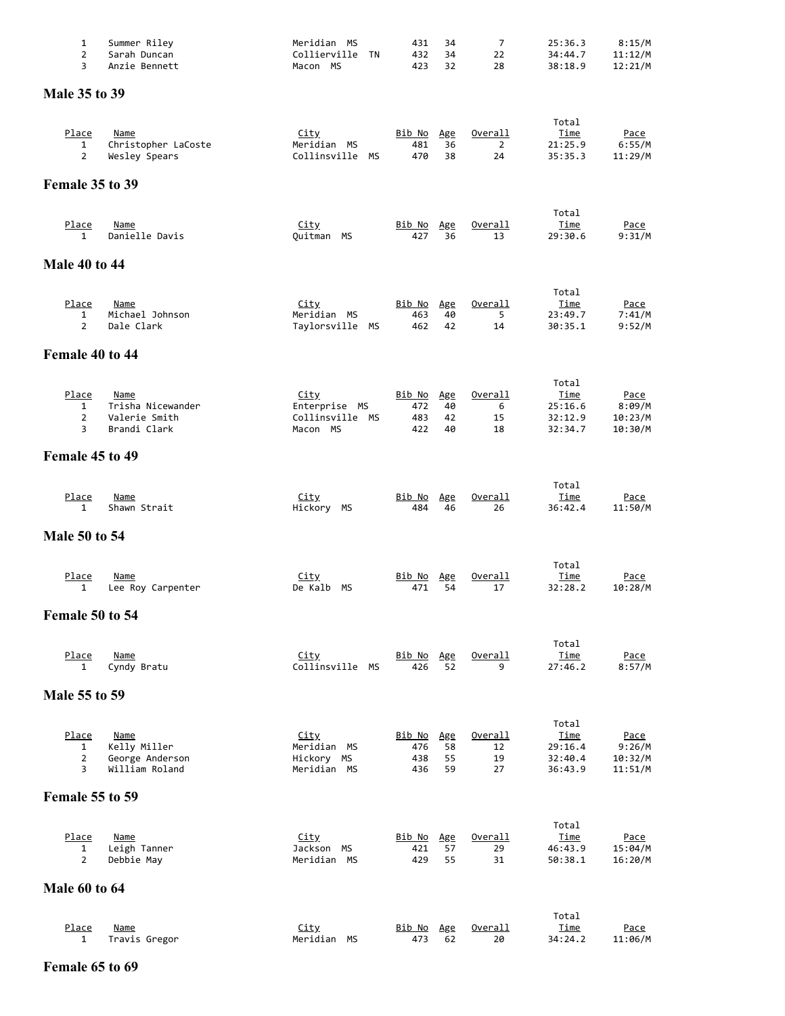| 1<br>$\overline{2}$<br>3                     | Summer Riley<br>Sarah Duncan<br>Anzie Bennett                     | Meridian MS<br>Collierville<br>TN<br>Macon MS               | 431<br>432<br>423                  | 34<br>34<br>32        | 7<br>22<br>28                   | 25:36.3<br>34:44.7<br>38:18.9                         | 8:15/M<br>11:12/M<br>12:21/M                |
|----------------------------------------------|-------------------------------------------------------------------|-------------------------------------------------------------|------------------------------------|-----------------------|---------------------------------|-------------------------------------------------------|---------------------------------------------|
| <b>Male 35 to 39</b>                         |                                                                   |                                                             |                                    |                       |                                 |                                                       |                                             |
|                                              |                                                                   |                                                             |                                    |                       |                                 |                                                       |                                             |
| Place<br>1<br>$\overline{2}$                 | Name<br>Christopher LaCoste<br>Wesley Spears                      | <u>City</u><br>Meridian MS<br>Collinsville MS               | Bib No<br>481<br>470               | Age<br>36<br>38       | Overall<br>$\overline{2}$<br>24 | Total<br>Time<br>21:25.9<br>35:35.3                   | <u>Pace</u><br>6:55/M<br>11:29/M            |
| Female 35 to 39                              |                                                                   |                                                             |                                    |                       |                                 |                                                       |                                             |
| <u>Place</u><br>$\mathbf{1}$                 | <b>Name</b><br>Danielle Davis                                     | <u>City</u><br>Quitman MS                                   | <u>Bib No</u><br>427               | Age<br>36             | <u>Overall</u><br>13            | Total<br>Time<br>29:30.6                              | Pace<br>9:31/M                              |
| <b>Male 40 to 44</b>                         |                                                                   |                                                             |                                    |                       |                                 |                                                       |                                             |
| Place<br>1<br>$\overline{2}$                 | <b>Name</b><br>Michael Johnson<br>Dale Clark                      | <u>City</u><br>Meridian MS<br>Taylorsville MS               | <u>Bib No</u><br>463<br>462        | Age<br>40<br>42       | Overall<br>5<br>14              | Total<br>Time<br>23:49.7<br>30:35.1                   | <u>Pace</u><br>7:41/M<br>9:52/M             |
| Female 40 to 44                              |                                                                   |                                                             |                                    |                       |                                 |                                                       |                                             |
| Place<br>$\mathbf{1}$<br>$\overline{2}$<br>3 | <b>Name</b><br>Trisha Nicewander<br>Valerie Smith<br>Brandi Clark | <u>City</u><br>Enterprise MS<br>Collinsville MS<br>Macon MS | Bib No Age<br>472<br>483<br>422    | 40<br>42<br>40        | Overall<br>6<br>15<br>18        | Total<br>Time<br>25:16.6<br>32:12.9<br>32:34.7        | <u>Pace</u><br>8:09/M<br>10:23/M<br>10:30/M |
| Female 45 to 49                              |                                                                   |                                                             |                                    |                       |                                 |                                                       |                                             |
| Place<br>$\mathbf{1}$                        | Name<br>Shawn Strait                                              | <u>City</u><br>Hickory MS                                   | Bib No<br>484                      | Age<br>46             | <u>Overall</u><br>26            | Total<br><u>Time</u><br>36:42.4                       | <u>Pace</u><br>11:50/M                      |
| <b>Male 50 to 54</b>                         |                                                                   |                                                             |                                    |                       |                                 |                                                       |                                             |
| Place<br>$\mathbf{1}$                        | <b>Name</b><br>Lee Roy Carpenter                                  | <u>City</u><br>De Kalb<br>МS                                | <u>Bib No</u><br>471               | Age<br>54             | <u>Overall</u><br>17            | Total<br><u>Time</u><br>32:28.2                       | <u>Pace</u><br>10:28/M                      |
| Female 50 to 54                              |                                                                   |                                                             |                                    |                       |                                 |                                                       |                                             |
| <u>Place</u><br>1                            | <u>Name</u><br>Cyndy Bratu                                        | <u>City</u><br>Collinsville MS                              | <u>Bib No</u><br>426               | Age<br>52             | Overall<br>9                    | Total<br><u>Time</u><br>27:46.2                       | <u>Pace</u><br>8:57/M                       |
| <b>Male 55 to 59</b>                         |                                                                   |                                                             |                                    |                       |                                 |                                                       |                                             |
| Place<br>1<br>2<br>3                         | <u>Name</u><br>Kelly Miller<br>George Anderson<br>William Roland  | <b>City</b><br>Meridian MS<br>Hickory MS<br>Meridian MS     | <u>Bib No</u><br>476<br>438<br>436 | Age<br>58<br>55<br>59 | Overall<br>12<br>19<br>27       | Total<br><u>Time</u><br>29:16.4<br>32:40.4<br>36:43.9 | <u>Pace</u><br>9:26/M<br>10:32/M<br>11:51/M |
| <b>Female 55 to 59</b>                       |                                                                   |                                                             |                                    |                       |                                 |                                                       |                                             |
| Place<br>1<br>$\overline{2}$                 | <b>Name</b><br>Leigh Tanner<br>Debbie May                         | <u>City</u><br>Jackson MS<br>Meridian MS                    | <u>Bib No</u><br>421<br>429        | Age<br>57<br>55       | <u>Overall</u><br>29<br>31      | Total<br><u>Time</u><br>46:43.9<br>50:38.1            | <u>Pace</u><br>15:04/M<br>16:20/M           |
| <b>Male 60 to 64</b>                         |                                                                   |                                                             |                                    |                       |                                 |                                                       |                                             |
| Place<br>1                                   | <u>Name</u><br>Travis Gregor                                      | <b>City</b><br>Meridian MS                                  | <u>Bib No</u><br>473               | Age<br>62             | <u>Overall</u><br>20            | Total<br><u>Time</u><br>34:24.2                       | <u>Pace</u><br>11:06/M                      |

#### **Female 65 to 69**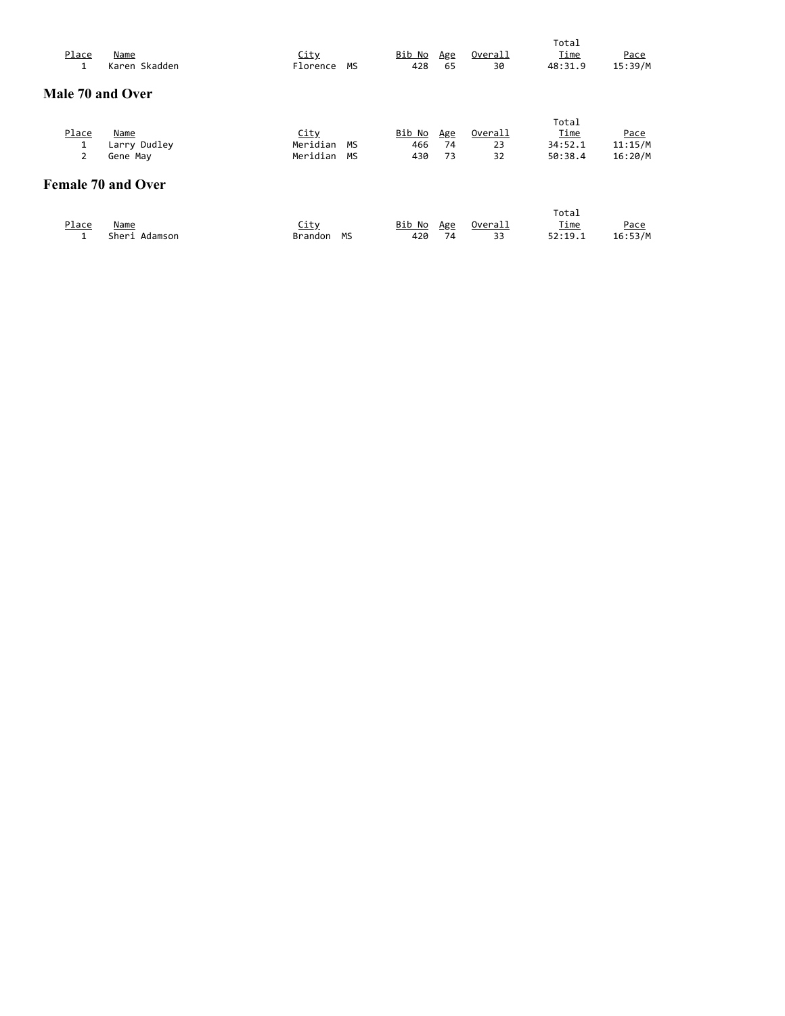|                  |                           |                |    |               |     |                | Total       |         |
|------------------|---------------------------|----------------|----|---------------|-----|----------------|-------------|---------|
| Place            | Name                      | City           |    | <u>Bib No</u> | Age | Overall        | Time        | Pace    |
| 1                | Karen Skadden             | Florence       | MS | 428           | 65  | 30             | 48:31.9     | 15:39/M |
|                  |                           |                |    |               |     |                |             |         |
| Male 70 and Over |                           |                |    |               |     |                |             |         |
|                  |                           |                |    |               |     |                | Total       |         |
| Place            | Name                      | <u>City</u>    |    | Bib No        | Age | Overall        | Time        | Pace    |
| 1                | Larry Dudley              | Meridian       | MS | 466           | 74  | 23             | 34:52.1     | 11:15/M |
| $\overline{2}$   | Gene May                  | Meridian       | MS | 430           | 73  | 32             | 50:38.4     | 16:20/M |
|                  | <b>Female 70 and Over</b> |                |    |               |     |                |             |         |
|                  |                           |                |    |               |     |                | Total       |         |
| Place            | Name                      | <u>City</u>    |    | Bib No        | Age | <u>Overall</u> | <u>Time</u> | Pace    |
| 1                | Sheri Adamson             | <b>Brandon</b> | MS | 420           | 74  | 33             | 52:19.1     | 16:53/M |
|                  |                           |                |    |               |     |                |             |         |